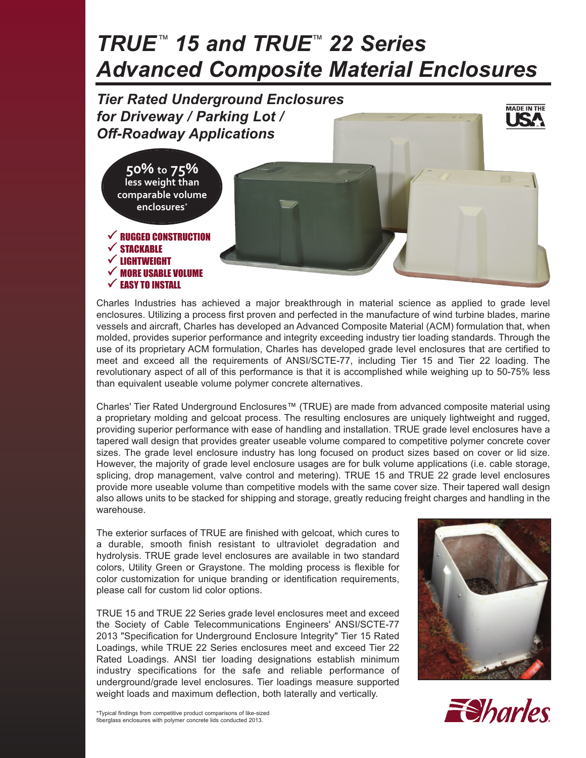# *TRUE™ 15 and TRUE™ 22 Series Advanced Composite Material Enclosures*



Charles Industries has achieved a major breakthrough in material science as applied to grade level enclosures. Utilizing a process first proven and perfected in the manufacture of wind turbine blades, marine vessels and aircraft, Charles has developed an Advanced Composite Material (ACM) formulation that, when molded, provides superior performance and integrity exceeding industry tier loading standards. Through the use of its proprietary ACM formulation, Charles has developed grade level enclosures that are certified to meet and exceed all the requirements of ANSI/SCTE-77, including Tier 15 and Tier 22 loading. The revolutionary aspect of all of this performance is that it is accomplished while weighing up to 50-75% less than equivalent useable volume polymer concrete alternatives.

Charles' Tier Rated Underground Enclosures™ (TRUE) are made from advanced composite material using a proprietary molding and gelcoat process. The resulting enclosures are uniquely lightweight and rugged, providing superior performance with ease of handling and installation. TRUE grade level enclosures have a tapered wall design that provides greater useable volume compared to competitive polymer concrete cover sizes. The grade level enclosure industry has long focused on product sizes based on cover or lid size. However, the majority of grade level enclosure usages are for bulk volume applications (i.e. cable storage, splicing, drop management, valve control and metering). TRUE 15 and TRUE 22 grade level enclosures provide more useable volume than competitive models with the same cover size. Their tapered wall design also allows units to be stacked for shipping and storage, greatly reducing freight charges and handling in the warehouse.

The exterior surfaces of TRUE are finished with gelcoat, which cures to a durable, smooth finish resistant to ultraviolet degradation and hydrolysis. TRUE grade level enclosures are available in two standard colors, Utility Green or Graystone. The molding process is flexible for color customization for unique branding or identification requirements, please call for custom lid color options.

TRUE 15 and TRUE 22 Series grade level enclosures meet and exceed the Society of Cable Telecommunications Engineers' ANSI/SCTE-77 2013 "Specification for Underground Enclosure Integrity" Tier 15 Rated Loadings, while TRUE 22 Series enclosures meet and exceed Tier 22 Rated Loadings. ANSI tier loading designations establish minimum industry specifications for the safe and reliable performance of underground/grade level enclosures. Tier loadings measure supported weight loads and maximum deflection, both laterally and vertically.



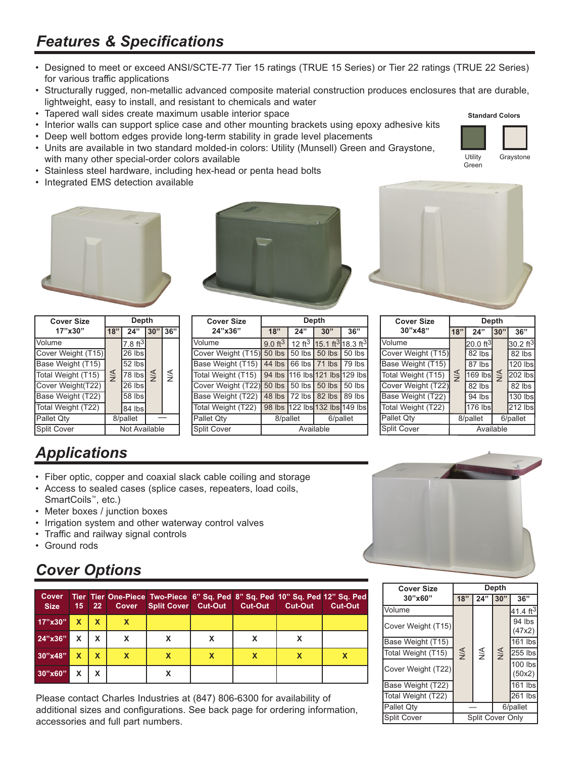#### *Features & Specifications*

- Designed to meet or exceed ANSI/SCTE-77 Tier 15 ratings (TRUE 15 Series) or Tier 22 ratings (TRUE 22 Series) for various traffic applications
- Structurally rugged, non-metallic advanced composite material construction produces enclosures that are durable, lightweight, easy to install, and resistant to chemicals and water
- Tapered wall sides create maximum usable interior space
- Interior walls can support splice case and other mounting brackets using epoxy adhesive kits
- Deep well bottom edges provide long-term stability in grade level placements
- Units are available in two standard molded-in colors: Utility (Munsell) Green and Graystone, with many other special-order colors available
- Stainless steel hardware, including hex-head or penta head bolts
- Integrated EMS detection available



| <b>Cover Size</b>  | Depth         |                     |               |               |  |
|--------------------|---------------|---------------------|---------------|---------------|--|
| 17"x30"            | 18"           | 24"                 | 30"           | 36"           |  |
| Volume             |               | $7.8 \text{ ft}^3$  |               |               |  |
| Cover Weight (T15) |               | 26 lbs              |               |               |  |
| Base Weight (T15)  |               | 52 lbs              | $\frac{4}{5}$ | $\frac{4}{2}$ |  |
| Total Weight (T15) | $\frac{4}{2}$ | $\overline{78}$ lbs |               |               |  |
| Cover Weight(T22)  |               | $\overline{26}$ lbs |               |               |  |
| Base Weight (T22)  |               | 58 lbs              |               |               |  |
| Total Weight (T22) |               | 84 lbs              |               |               |  |
| Pallet Qty         |               | 8/pallet            |               |               |  |
| Split Cover        | Not Available |                     |               |               |  |

| <b>Cover Size</b>  | Depth              |          |                                                              |     |  |  |  |
|--------------------|--------------------|----------|--------------------------------------------------------------|-----|--|--|--|
| 24"x36"            | 18"                | 24"      | 30"                                                          | 36" |  |  |  |
| Volume             | $9.0 \text{ ft}^3$ |          | 12 ft <sup>3</sup> 15.1 ft <sup>3</sup> 18.3 ft <sup>3</sup> |     |  |  |  |
| Cover Weight (T15) |                    |          | 50 lbs   50 lbs   50 lbs   50 lbs                            |     |  |  |  |
| Base Weight (T15)  |                    |          | 44 lbs 66 lbs 71 lbs 79 lbs                                  |     |  |  |  |
| Total Weight (T15) |                    |          | 94 lbs 116 lbs 121 lbs 129 lbs                               |     |  |  |  |
| Cover Weight (T22) |                    |          | 50 lbs 50 lbs 50 lbs 50 lbs                                  |     |  |  |  |
| Base Weight (T22)  |                    |          | 48 lbs 72 lbs 82 lbs 89 lbs                                  |     |  |  |  |
| Total Weight (T22) |                    |          | 98 lbs 122 lbs 132 lbs 149 lbs                               |     |  |  |  |
| Pallet Qty         |                    | 8/pallet | 6/pallet                                                     |     |  |  |  |
| Split Cover        | Available          |          |                                                              |     |  |  |  |



| <b>Cover Size</b>  | <b>Depth</b>  |                     |               |                      |  |
|--------------------|---------------|---------------------|---------------|----------------------|--|
| 30"x48"            | 18"           | 24"                 | 30"           | 36"                  |  |
| Volume             |               | $20.0 \text{ ft}^3$ |               | 30.2 ft <sup>3</sup> |  |
| Cover Weight (T15) |               | 82 lbs              |               | 82 lbs               |  |
| Base Weight (T15)  |               | 87 lbs              | $\frac{1}{2}$ | 120 lbs              |  |
| Total Weight (T15) | $\frac{4}{2}$ | $169$ lbs           |               | 202 lbs              |  |
| Cover Weight (T22) |               | $82$ lbs            |               | 82 lbs               |  |
| Base Weight (T22)  |               | 94 lbs              |               | 130 lbs              |  |
| Total Weight (T22) |               | 176 lbs             |               | 212 lbs              |  |
| Pallet Qty         |               | 8/pallet            |               | 6/pallet             |  |
| Split Cover        | Available     |                     |               |                      |  |

## *Applications*

- Fiber optic, copper and coaxial slack cable coiling and storage
- Access to sealed cases (splice cases, repeaters, load coils, SmartCoils™, etc.)
- Meter boxes / junction boxes
- Irrigation system and other waterway control valves
- Traffic and railway signal controls
- Ground rods

### *Cover Options*

| <b>Cover</b><br><b>Size</b> | 15 <sup>1</sup> | $22-$ |   | Cover Split Cover Cut-Out | Cut-Out | Tier Tier One-Piece Two-Piece 6" Sq. Ped 8" Sq. Ped 10" Sq. Ped 12" Sq. Ped<br><b>Cut-Out</b> | <b>Cut-Out</b> |
|-----------------------------|-----------------|-------|---|---------------------------|---------|-----------------------------------------------------------------------------------------------|----------------|
| 17"x30"                     | X               | X     | X |                           |         |                                                                                               |                |
| $24''$ x36"                 | x               | x     | x |                           |         |                                                                                               |                |
| 30''x48"                    | X               | X     | X |                           |         |                                                                                               |                |
| 30"x60"                     |                 | x     |   |                           |         |                                                                                               |                |

Please contact Charles Industries at (847) 806-6300 for availability of additional sizes and configurations. See back page for ordering information, accessories and full part numbers.



| <b>Cover Size</b>  | Depth            |               |     |                      |  |
|--------------------|------------------|---------------|-----|----------------------|--|
| 30"x60"            | 18"              | 24"           | 30" | 36"                  |  |
| Volume             |                  | $\frac{4}{2}$ | N/A | 41.4 ft <sup>3</sup> |  |
| Cover Weight (T15) |                  |               |     | 94 lbs<br>(47x2)     |  |
| Base Weight (T15)  |                  |               |     | 161 lbs              |  |
| Total Weight (T15) | $\leq$           |               |     | 255 lbs              |  |
| Cover Weight (T22) |                  |               |     | 100 lbs<br>(50x2)    |  |
| Base Weight (T22)  |                  |               |     | 161 lbs              |  |
| Total Weight (T22) |                  |               |     | 261 lbs              |  |
| Pallet Qty         | 6/pallet         |               |     |                      |  |
| Split Cover        | Split Cover Only |               |     |                      |  |

#### **Standard Colors**



Utility Green **Graystone**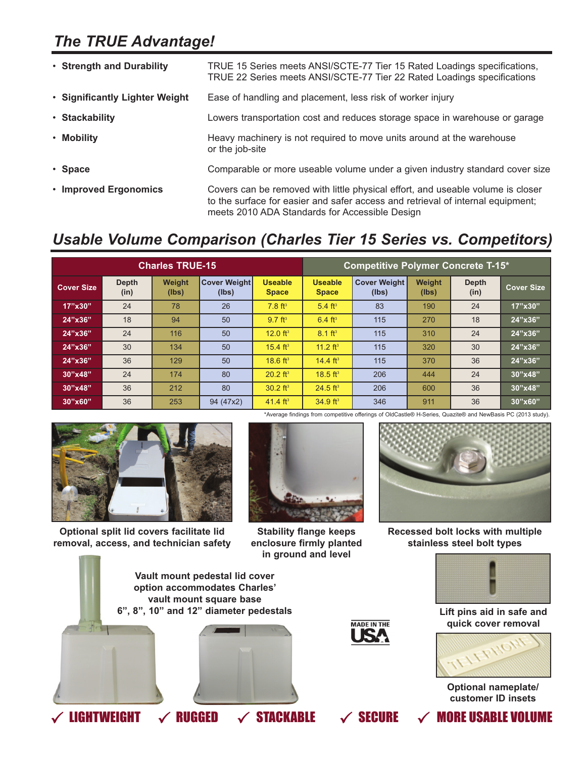#### *The TRUE Advantage!*

| • Strength and Durability      | TRUE 15 Series meets ANSI/SCTE-77 Tier 15 Rated Loadings specifications,<br>TRUE 22 Series meets ANSI/SCTE-77 Tier 22 Rated Loadings specifications                                                                  |
|--------------------------------|----------------------------------------------------------------------------------------------------------------------------------------------------------------------------------------------------------------------|
| • Significantly Lighter Weight | Ease of handling and placement, less risk of worker injury                                                                                                                                                           |
| • Stackability                 | Lowers transportation cost and reduces storage space in warehouse or garage                                                                                                                                          |
| • Mobility                     | Heavy machinery is not required to move units around at the warehouse<br>or the job-site                                                                                                                             |
| • Space                        | Comparable or more useable volume under a given industry standard cover size                                                                                                                                         |
| • Improved Ergonomics          | Covers can be removed with little physical effort, and useable volume is closer<br>to the surface for easier and safer access and retrieval of internal equipment;<br>meets 2010 ADA Standards for Accessible Design |

#### *Usable Volume Comparison (Charles Tier 15 Series vs. Competitors)*

| <b>Charles TRUE-15</b> |                      |                 |                              | <b>Competitive Polymer Concrete T-15*</b> |                                |                              |                 |                      |            |
|------------------------|----------------------|-----------------|------------------------------|-------------------------------------------|--------------------------------|------------------------------|-----------------|----------------------|------------|
| <b>Cover Size</b>      | <b>Depth</b><br>(in) | Weight<br>(lbs) | <b>Cover Weight</b><br>(lbs) | <b>Useable</b><br><b>Space</b>            | <b>Useable</b><br><b>Space</b> | <b>Cover Weight</b><br>(lbs) | Weight<br>(lbs) | <b>Depth</b><br>(in) | Cover Size |
| 17"x30"                | 24                   | 78              | 26                           | $7.8 \text{ ft}^3$                        | 5.4 $ft^3$                     | 83                           | 190             | 24                   | 17"x30"    |
| 24"x36"                | 18                   | 94              | 50                           | $9.7 \text{ ft}^3$                        | $6.4 \text{ ft}^3$             | 115                          | 270             | 18                   | 24"x36"    |
| 24"x36"                | 24                   | 116             | 50                           | 12.0 $ft^3$                               | $8.1 \text{ ft}^3$             | 115                          | 310             | 24                   | 24"x36"    |
| 24"x36"                | 30                   | 134             | 50                           | $15.4 \text{ ft}^3$                       | 11.2 $ft^3$                    | 115                          | 320             | 30                   | 24"x36"    |
| 24"x36"                | 36                   | 129             | 50                           | 18.6 $ft^3$                               | 14.4 $ft^3$                    | 115                          | 370             | 36                   | 24"x36"    |
| 30"x48"                | 24                   | 174             | 80                           | $20.2$ ft <sup>3</sup>                    | 18.5 $ft^3$                    | 206                          | 444             | 24                   | 30"x48"    |
| 30"x48"                | 36                   | 212             | 80                           | $30.2 \text{ ft}^3$                       | $24.5$ ft <sup>3</sup>         | 206                          | 600             | 36                   | 30"x48"    |
| 30"x60"                | 36                   | 253             | 94 (47x2)                    | 41.4 $ft^3$                               | 34.9 $ft^3$                    | 346                          | 911             | 36                   | 30"x60"    |



**Optional split lid covers facilitate lid removal, access, and technician safety**



**Stability flange keeps enclosure firmly planted in ground and level**



**Recessed bolt locks with multiple stainless steel bolt types**



**Lift pins aid in safe and quick cover removal**



**Optional nameplate/ customer ID insets**



**MADE IN THE** USZ